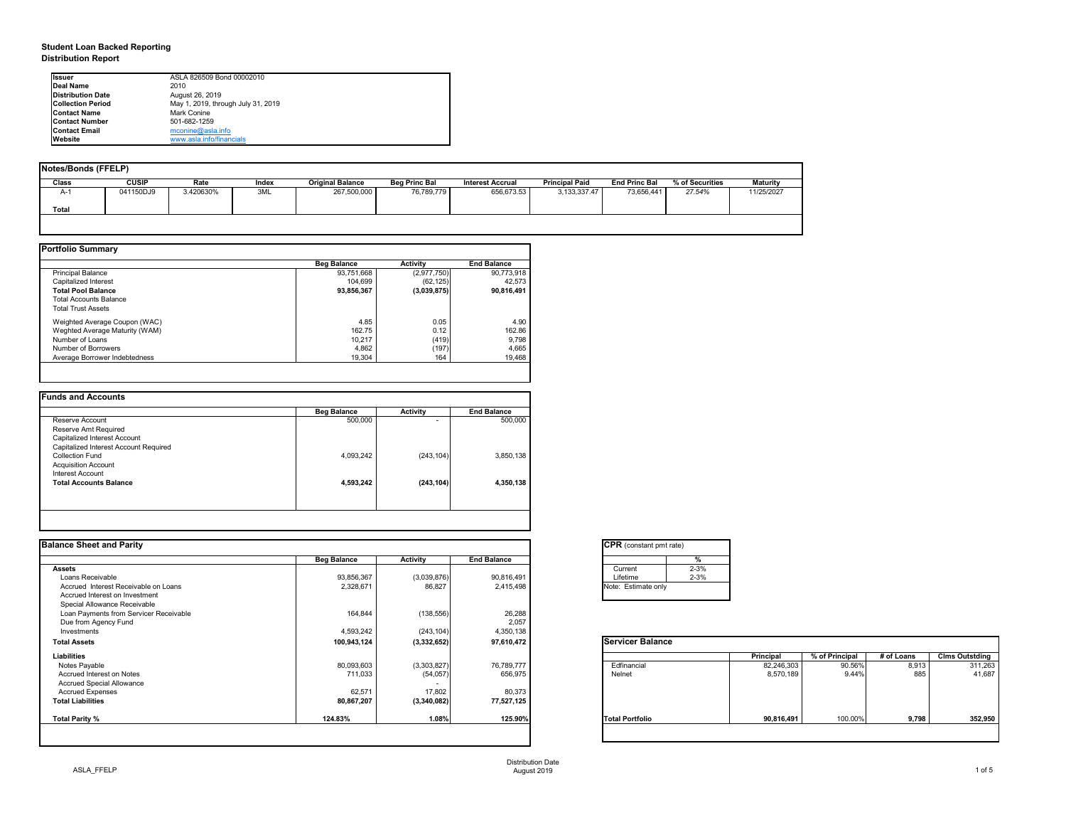## **Student Loan Backed Reporting Distribution Report**

| Notes/Bonds (FFELP) |              |           |       |                         |                      |                         |                       |                      |                 |                 |
|---------------------|--------------|-----------|-------|-------------------------|----------------------|-------------------------|-----------------------|----------------------|-----------------|-----------------|
| Class               | <b>CUSIP</b> | Rate      | Index | <b>Original Balance</b> | <b>Beg Princ Bal</b> | <b>Interest Accrual</b> | <b>Principal Paid</b> | <b>End Princ Bal</b> | % of Securities | <b>Maturity</b> |
| A-1                 | 041150DJ9    | 3.420630% | 3ML   | 267,500,000             | 76,789,779           | 656,673.53              | 3, 133, 337. 47       | 73,656,441           | 27.54%          | 11/25/2027      |
| <b>Total</b>        |              |           |       |                         |                      |                         |                       |                      |                 |                 |
|                     |              |           |       |                         |                      |                         |                       |                      |                 |                 |

|                                | <b>Beg Balance</b> | <b>Activity</b> | <b>End Balance</b> |
|--------------------------------|--------------------|-----------------|--------------------|
| <b>Principal Balance</b>       | 93,751,668         | (2,977,750)     | 90,773,918         |
| Capitalized Interest           | 104,699            | (62, 125)       | 42,573             |
| <b>Total Pool Balance</b>      | 93,856,367         | (3,039,875)     | 90,816,491         |
| <b>Total Accounts Balance</b>  |                    |                 |                    |
| <b>Total Trust Assets</b>      |                    |                 |                    |
| Weighted Average Coupon (WAC)  | 4.85               | 0.05            | 4.90               |
| Weghted Average Maturity (WAM) | 162.75             | 0.12            | 162.86             |
| Number of Loans                | 10,217             | (419)           | 9,798              |
| Number of Borrowers            | 4,862              | (197)           | 4,665              |
| Average Borrower Indebtedness  | 19,304             | 164             | 19,468             |

|                                       | <b>Beg Balance</b> | <b>Activity</b> | <b>End Balance</b> |
|---------------------------------------|--------------------|-----------------|--------------------|
| Reserve Account                       | 500,000            | $\blacksquare$  | 500,000            |
| Reserve Amt Required                  |                    |                 |                    |
| Capitalized Interest Account          |                    |                 |                    |
| Capitalized Interest Account Required |                    |                 |                    |
| <b>Collection Fund</b>                | 4,093,242          | (243, 104)      | 3,850,138          |
| <b>Acquisition Account</b>            |                    |                 |                    |
| Interest Account                      |                    |                 |                    |
| <b>Total Accounts Balance</b>         | 4,593,242          | (243, 104)      | 4,350,138          |
|                                       |                    |                 |                    |

| <b>Ilssuer</b>           | ASLA 826509 Bond 00002010          |
|--------------------------|------------------------------------|
| Deal Name                | 2010                               |
| Distribution Date        | August 26, 2019                    |
| <b>Collection Period</b> | May 1, 2019, through July 31, 2019 |
| <b>IContact Name</b>     | Mark Conine                        |
| <b>IContact Number</b>   | 501-682-1259                       |
| <b>Contact Email</b>     | mconine@asla.info                  |
| <b>IWebsite</b>          | www.asla.info/financials           |

| <b>Balance Sheet and Parity</b>        |                    |                 |                    | <b>CPR</b> (constant pmt rate) |                  |                |            |                       |
|----------------------------------------|--------------------|-----------------|--------------------|--------------------------------|------------------|----------------|------------|-----------------------|
|                                        | <b>Beg Balance</b> | <b>Activity</b> | <b>End Balance</b> | %                              |                  |                |            |                       |
| <b>Assets</b>                          |                    |                 |                    | $2 - 3%$<br>Current            |                  |                |            |                       |
| Loans Receivable                       | 93,856,367         | (3,039,876)     | 90,816,491         | $2 - 3%$<br>Lifetime           |                  |                |            |                       |
| Accrued Interest Receivable on Loans   | 2,328,671          | 86,827          | 2,415,498          | Note: Estimate only            |                  |                |            |                       |
| Accrued Interest on Investment         |                    |                 |                    |                                |                  |                |            |                       |
| Special Allowance Receivable           |                    |                 |                    |                                |                  |                |            |                       |
| Loan Payments from Servicer Receivable | 164,844            | (138, 556)      | 26,288             |                                |                  |                |            |                       |
| Due from Agency Fund                   |                    |                 | 2,057              |                                |                  |                |            |                       |
| Investments                            | 4,593,242          | (243, 104)      | 4,350,138          |                                |                  |                |            |                       |
| <b>Total Assets</b>                    | 100,943,124        | (3,332,652)     | 97,610,472         | <b>Servicer Balance</b>        |                  |                |            |                       |
| <b>Liabilities</b>                     |                    |                 |                    |                                | <b>Principal</b> | % of Principal | # of Loans | <b>Clms Outstding</b> |
| Notes Payable                          | 80,093,603         | (3,303,827)     | 76,789,777         | Edfinancial                    | 82,246,303       | 90.56%         | 8,913      | 311,263               |
| Accrued Interest on Notes              | 711,033            | (54, 057)       | 656,975            | Nelnet                         | 8,570,189        | 9.44%          | 885        | 41,687                |
| <b>Accrued Special Allowance</b>       |                    | $\sim$          |                    |                                |                  |                |            |                       |
| <b>Accrued Expenses</b>                | 62,571             | 17,802          | 80,373             |                                |                  |                |            |                       |
| <b>Total Liabilities</b>               | 80,867,207         | (3,340,082)     | 77,527,125         |                                |                  |                |            |                       |
| Total Parity %                         | 124.83%            | 1.08%           | 125.90%            | <b>Total Portfolio</b>         | 90,816,491       | 100.00%        | 9,798      | 352,950               |

| CPR (con:   |          |
|-------------|----------|
|             |          |
|             | Current  |
|             | Lifetime |
| Note: Estir |          |
|             |          |

| tant pmt rate) |          |
|----------------|----------|
|                | %        |
|                | $2 - 3%$ |
|                | $2 - 3%$ |
| ate only       |          |
|                |          |

| <b>Balance</b> |                  |                |            |                       |
|----------------|------------------|----------------|------------|-----------------------|
|                | <b>Principal</b> | % of Principal | # of Loans | <b>Clms Outstding</b> |
|                | 82,246,303       | 90.56%         | 8,913      | 311,263               |
|                | 8,570,189        | 9.44%          | 885        | 41,687                |
| lio            | 90,816,491       | 100.00%        | 9,798      | 352,950               |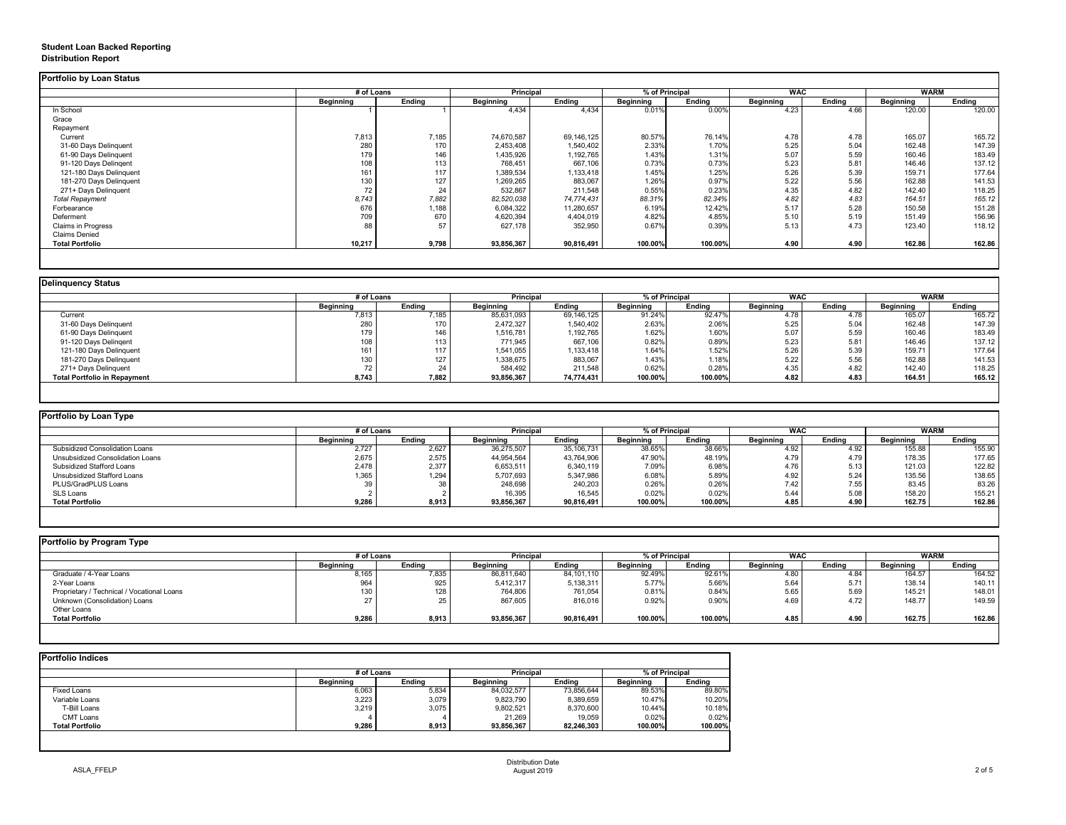## **Student Loan Backed Reporting Distribution Report**

### **Delinquency Status**

|                           | # of Loans       |               | <b>Principal</b> |               | % of Principal   |               | <b>WAC</b>       |               | <b>WARM</b>      |               |
|---------------------------|------------------|---------------|------------------|---------------|------------------|---------------|------------------|---------------|------------------|---------------|
|                           | <b>Beginning</b> | <b>Ending</b> | <b>Beginning</b> | <b>Ending</b> | <b>Beginning</b> | <b>Ending</b> | <b>Beginning</b> | <b>Ending</b> | <b>Beginning</b> | <b>Ending</b> |
| In School                 |                  |               | 4,434            | 4,434         | 0.01%            | 0.00%         | 4.23             | 4.66          | 120.00           | 120.00        |
| Grace                     |                  |               |                  |               |                  |               |                  |               |                  |               |
| Repayment                 |                  |               |                  |               |                  |               |                  |               |                  |               |
| Current                   | 7,813            | 7,185         | 74,670,587       | 69,146,125    | 80.57%           | 76.14%        | 4.78             | 4.78          | 165.07           | 165.72        |
| 31-60 Days Delinquent     | 280              | 170           | 2,453,408        | 1,540,402     | 2.33%            | 1.70%         | 5.25             | 5.04          | 162.48           | 147.39        |
| 61-90 Days Delinquent     | 179              | 146           | 1,435,926        | 1,192,765     | 1.43%            | 1.31%         | 5.07             | 5.59          | 160.46           | 183.49        |
| 91-120 Days Delingent     | 108              | 113           | 768,451          | 667,106       | 0.73%            | 0.73%         | 5.23             | 5.81          | 146.46           | 137.12        |
| 121-180 Days Delinquent   | 161              | 117           | 1,389,534        | ,133,418      | 1.45%            | 1.25%         | 5.26             | 5.39          | 159.71           | 177.64        |
| 181-270 Days Delinquent   | 130              | 127           | 1,269,265        | 883,067       | 1.26%            | 0.97%         | 5.22             | 5.56          | 162.88           | 141.53        |
| 271+ Days Delinquent      | 72               | 24            | 532,867          | 211,548       | 0.55%            | 0.23%         | 4.35             | 4.82          | 142.40           | 118.25        |
| <b>Total Repayment</b>    | 8,743            | 7,882         | 82,520,038       | 74,774,431    | 88.31%           | 82.34%        | 4.82             | 4.83          | 164.51           | 165.12        |
| Forbearance               | 676              | 1,188         | 6,084,322        | 11,280,657    | 6.19%            | 12.42%        | 5.17             | 5.28          | 150.58           | 151.28        |
| Deferment                 | 709              | 670           | 4,620,394        | 4,404,019     | 4.82%            | 4.85%         | 5.10             | 5.19          | 151.49           | 156.96        |
| <b>Claims in Progress</b> | 88               | 57            | 627,178          | 352,950       | 0.67%            | 0.39%         | 5.13             | 4.73          | 123.40           | 118.12        |
| <b>Claims Denied</b>      |                  |               |                  |               |                  |               |                  |               |                  |               |
| <b>Total Portfolio</b>    | 10,217           | 9,798         | 93,856,367       | 90,816,491    | 100.00%          | 100.00%       | 4.90             | 4.90          | 162.86           | 162.86        |

|                                     |                  | # of Loans    |                  | % of Principal<br><b>Principal</b> |                  |               | <b>WAC</b>       |               | <b>WARM</b>      |               |
|-------------------------------------|------------------|---------------|------------------|------------------------------------|------------------|---------------|------------------|---------------|------------------|---------------|
|                                     | <b>Beginning</b> | <b>Ending</b> | <b>Beginning</b> | <b>Ending</b>                      | <b>Beginning</b> | <b>Ending</b> | <b>Beginning</b> | <b>Ending</b> | <b>Beginning</b> | <b>Ending</b> |
| Current                             | 7,813            | 7,185         | 85,631,093       | 69,146,125                         | 91.24%           | 92.47%        | 4.78             | 4.78          | 165.07           | 165.72        |
| 31-60 Days Delinquent               | 280              | 170           | 2,472,327        | 1,540,402                          | 2.63%            | 2.06%         | 5.25             | 5.04          | 162.48           | 147.39        |
| 61-90 Days Delinquent               | 179              | 146           | 1,516,781        | 1,192,765                          | 1.62%            | 1.60%         | 5.07             | 5.59          | 160.46           | 183.49        |
| 91-120 Days Delingent               | 108              | 113           | 771,945          | 667,106                            | 0.82%            | 0.89%         | 5.23             | 5.81          | 146.46           | 137.12        |
| 121-180 Days Delinquent             | 161              | 117           | 1,541,055        | 1,133,418                          | 1.64%            | 1.52%         | 5.26             | 5.39          | 159.71           | 177.64        |
| 181-270 Days Delinquent             | 130              | 127           | 1,338,675        | 883,067                            | 1.43%            | 1.18%         | 5.22             | 5.56          | 162.88           | 141.53        |
| 271+ Days Delinquent                | 70<br>72         | 24            | 584,492          | 211,548                            | 0.62%            | 0.28%         | 4.35             | 4.82          | 142.40           | 118.25        |
| <b>Total Portfolio in Repayment</b> | 8,743            | 7,882         | 93,856,367       | 74,774,431                         | 100.00%          | 100.00%       | 4.82             | 4.83          | 164.51           | 165.12        |

| Portfolio by Loan Type                |                  |               |                  |                                    |                  |               |                  |               |                  |        |
|---------------------------------------|------------------|---------------|------------------|------------------------------------|------------------|---------------|------------------|---------------|------------------|--------|
|                                       | # of Loans       |               |                  | % of Principal<br><b>Principal</b> |                  |               | <b>WAC</b>       |               | WARM             |        |
|                                       | <b>Beginning</b> | <b>Ending</b> | <b>Beginning</b> | <b>Ending</b>                      | <b>Beginning</b> | <b>Ending</b> | <b>Beginning</b> | <b>Ending</b> | <b>Beginning</b> | Ending |
| <b>Subsidized Consolidation Loans</b> | 2,727            | 2,627         | 36,275,507       | 35,106,731                         | 38.65%           | 38.66%        | 4.92             | 4.92          | 155.88           | 155.90 |
| Unsubsidized Consolidation Loans      | 2,675            | 2,575         | 44,954,564       | 43,764,906                         | 47.90%           | 48.19%        | 4.79             | 4.79          | 178.35           | 177.65 |
| <b>Subsidized Stafford Loans</b>      | 2,478            | 2,377         | 6,653,511        | 6,340,119                          | 7.09%            | 6.98%         | 4.76             | 5.13          | 121.03           | 122.82 |
| <b>Unsubsidized Stafford Loans</b>    | ,365             | 1,294         | 5,707,693        | 5,347,986                          | 6.08%            | 5.89%         | 4.92             | 5.24          | 135.56           | 138.65 |
| PLUS/GradPLUS Loans                   | ാറ               | 38            | 248,698          | 240,203                            | 0.26%            | 0.26%         | 7.42             | 7.55          | 83.45            | 83.26  |
| SLS Loans                             |                  |               | 16,395           | 16,545                             | 0.02%            | 0.02%         | 5.44             | 5.08          | 158.20           | 155.21 |
| <b>Total Portfolio</b>                | 9,286            | 8,913         | 93,856,367       | 90,816,491                         | 100.00%          | 100.00%       | 4.85             | 4.90          | 162.75           | 162.86 |

|                                            | # of Loans       |               |                  | <b>Principal</b><br>% of Principal |                  |               | <b>WAC</b>       |               | <b>WARM</b>      |               |
|--------------------------------------------|------------------|---------------|------------------|------------------------------------|------------------|---------------|------------------|---------------|------------------|---------------|
|                                            | <b>Beginning</b> | <b>Ending</b> | <b>Beginning</b> | Ending                             | <b>Beginning</b> | <b>Ending</b> | <b>Beginning</b> | <b>Ending</b> | <b>Beginning</b> | <b>Ending</b> |
| Graduate / 4-Year Loans                    | 8,165            | 7,835         | 86,811,640       | 84,101,110                         | 92.49%           | 92.61%        | 4.80             | 4.84          | 164.57           | 164.52        |
| 2-Year Loans                               | 964              | 925           | 5,412,317        | 5,138,311                          | 5.77%            | 5.66%         | 5.64             | 5.71          | 138.14           | 140.11        |
| Proprietary / Technical / Vocational Loans | 130              | 128           | 764,806          | 761,054                            | 0.81%            | 0.84%         | 5.65             | 5.69          | 145.21           | 148.01        |
| Unknown (Consolidation) Loans              |                  | 25            | 867,605          | 816,016                            | 0.92%            | 0.90%         | 4.69             | 4.72          | 148.77           | 149.59        |
| Other Loans                                |                  |               |                  |                                    |                  |               |                  |               |                  |               |
| <b>Total Portfolio</b>                     | 9,286            | 8,913         | 93,856,367       | 90,816,491                         | 100.00%          | 100.00%       | 4.85             | 4.90          | 162.75           | 162.86        |

| <b>Ending</b> |                  | <b>Principal</b> |                  |               | # of Loans       |                        |
|---------------|------------------|------------------|------------------|---------------|------------------|------------------------|
|               | <b>Beginning</b> | <b>Ending</b>    | <b>Beginning</b> | <b>Ending</b> | <b>Beginning</b> |                        |
| 89.80%        | 89.53%           | 73,856,644       | 84,032,577       | 5,834         | 6,063            | <b>Fixed Loans</b>     |
| 10.20%        | 10.47%           | 8,389,659        | 9,823,790        | 3,079         | 3,223            | Variable Loans         |
| 10.18%        | 10.44%           | 8,370,600        | 9,802,521        | 3,075         | 3,219            | T-Bill Loans           |
| 0.02%         | 0.02%            | 19,059           | 21,269           |               |                  | <b>CMT Loans</b>       |
| 100.00%       | 100.00%          | 82,246,303       | 93,856,367       | 8,913         | 9,286            | <b>Total Portfolio</b> |
|               |                  |                  |                  |               |                  |                        |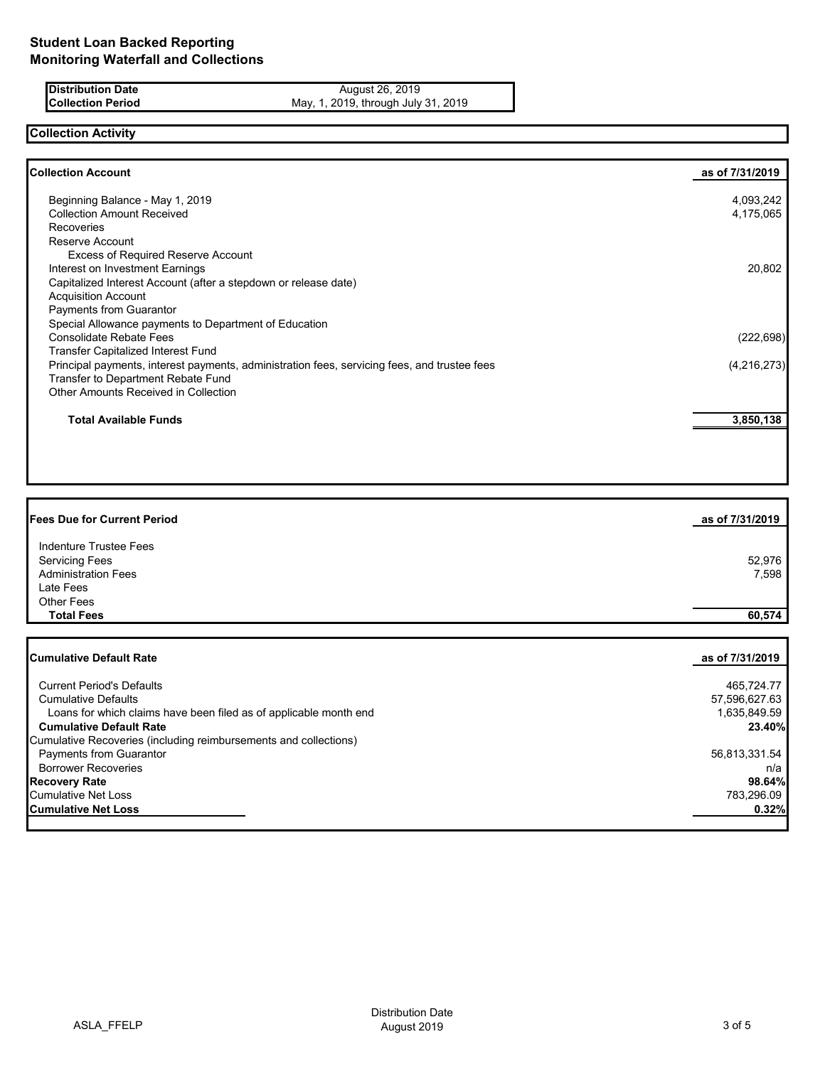**Distribution Date** August 26, 2019 **Collection Period** May, 1, 2019, through July 31, 2019

# **Collection Activity**

| <b>Collection Account</b>                                                                    | as of 7/31/2019 |
|----------------------------------------------------------------------------------------------|-----------------|
| Beginning Balance - May 1, 2019                                                              | 4,093,242       |
| <b>Collection Amount Received</b>                                                            | 4,175,065       |
| Recoveries                                                                                   |                 |
| Reserve Account                                                                              |                 |
| <b>Excess of Required Reserve Account</b>                                                    |                 |
| Interest on Investment Earnings                                                              | 20,802          |
| Capitalized Interest Account (after a stepdown or release date)                              |                 |
| <b>Acquisition Account</b>                                                                   |                 |
| <b>Payments from Guarantor</b>                                                               |                 |
| Special Allowance payments to Department of Education                                        |                 |
| <b>Consolidate Rebate Fees</b>                                                               | (222, 698)      |
| <b>Transfer Capitalized Interest Fund</b>                                                    |                 |
| Principal payments, interest payments, administration fees, servicing fees, and trustee fees | (4,216,273)     |
| Transfer to Department Rebate Fund                                                           |                 |
| <b>Other Amounts Received in Collection</b>                                                  |                 |
| <b>Total Available Funds</b>                                                                 | 3,850,138       |
|                                                                                              |                 |

| <b>Fees Due for Current Period</b> | as of 7/31/2019 |
|------------------------------------|-----------------|
| Indenture Trustee Fees             |                 |
| <b>Servicing Fees</b>              | 52,976          |
| <b>Administration Fees</b>         | 7,598           |
| Late Fees                          |                 |
| Other Fees                         |                 |
| <b>Total Fees</b>                  | 60,574          |
|                                    |                 |
|                                    |                 |

| ICumulative Default Rate                                          | as of 7/31/2019 |
|-------------------------------------------------------------------|-----------------|
|                                                                   |                 |
| <b>Current Period's Defaults</b>                                  | 465,724.77      |
| <b>Cumulative Defaults</b>                                        | 57,596,627.63   |
| Loans for which claims have been filed as of applicable month end | 1,635,849.59    |
| <b>Cumulative Default Rate</b>                                    | 23.40%          |
| Cumulative Recoveries (including reimbursements and collections)  |                 |
| <b>Payments from Guarantor</b>                                    | 56,813,331.54   |
| <b>Borrower Recoveries</b>                                        | n/a             |
| <b>Recovery Rate</b>                                              | 98.64%          |
| <b>Cumulative Net Loss</b>                                        | 783.296.09      |
| <b>Cumulative Net Loss</b>                                        | 0.32%           |
|                                                                   |                 |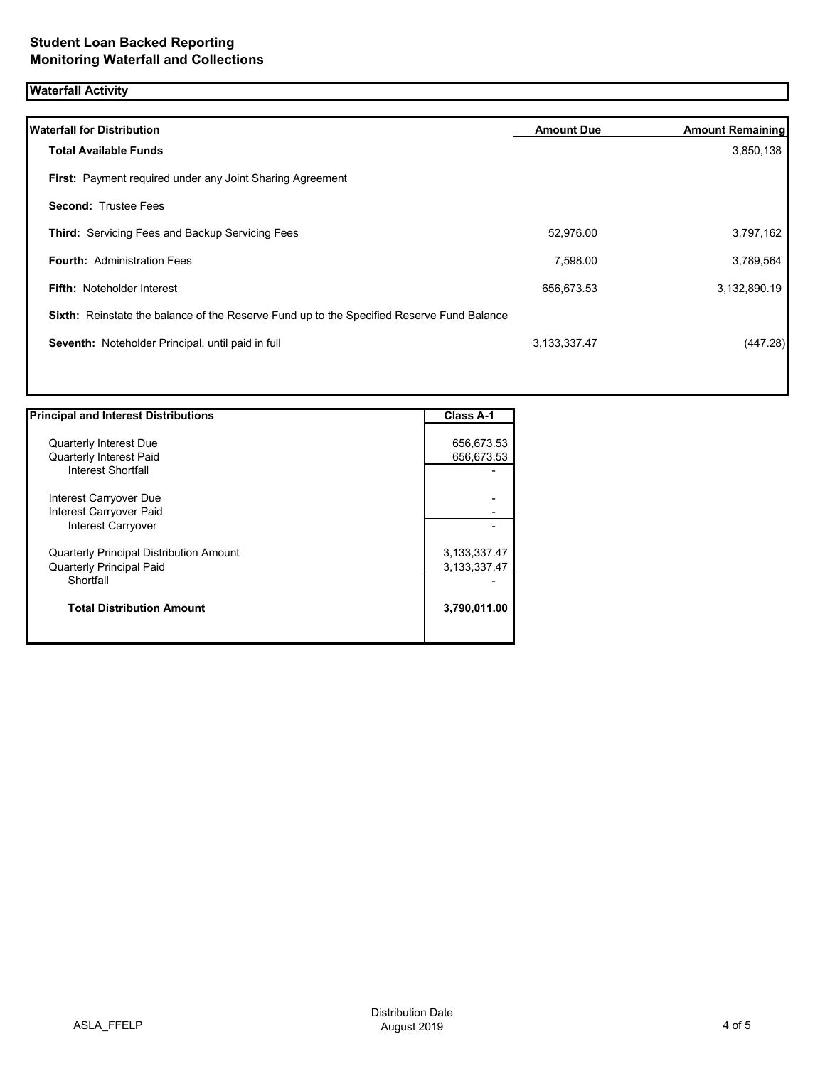## **Waterfall Activity**

| <b>Waterfall for Distribution</b>                                                         | <b>Amount Due</b> | <b>Amount Remaining</b> |
|-------------------------------------------------------------------------------------------|-------------------|-------------------------|
| <b>Total Available Funds</b>                                                              |                   | 3,850,138               |
| <b>First:</b> Payment required under any Joint Sharing Agreement                          |                   |                         |
| <b>Second: Trustee Fees</b>                                                               |                   |                         |
| <b>Third:</b> Servicing Fees and Backup Servicing Fees                                    | 52,976.00         | 3,797,162               |
| <b>Fourth: Administration Fees</b>                                                        | 7,598.00          | 3,789,564               |
| <b>Fifth: Noteholder Interest</b>                                                         | 656,673.53        | 3,132,890.19            |
| Sixth: Reinstate the balance of the Reserve Fund up to the Specified Reserve Fund Balance |                   |                         |
| Seventh: Noteholder Principal, until paid in full                                         | 3,133,337.47      | (447.28)                |
|                                                                                           |                   |                         |

| <b>Principal and Interest Distributions</b>    | <b>Class A-1</b> |
|------------------------------------------------|------------------|
|                                                |                  |
| <b>Quarterly Interest Due</b>                  | 656,673.53       |
| <b>Quarterly Interest Paid</b>                 | 656,673.53       |
| Interest Shortfall                             |                  |
| Interest Carryover Due                         |                  |
| Interest Carryover Paid                        |                  |
| Interest Carryover                             |                  |
| <b>Quarterly Principal Distribution Amount</b> | 3,133,337.47     |
| <b>Quarterly Principal Paid</b>                | 3, 133, 337. 47  |
| Shortfall                                      |                  |
| <b>Total Distribution Amount</b>               | 3,790,011.00     |
|                                                |                  |